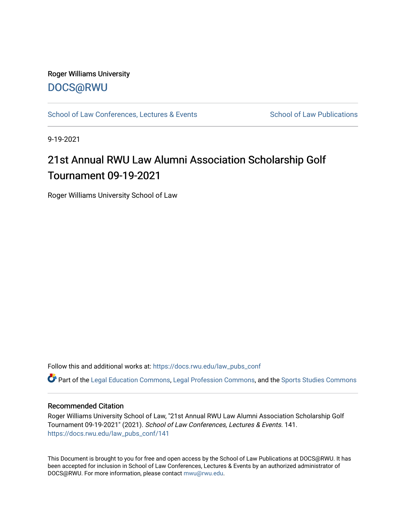## Roger Williams University [DOCS@RWU](https://docs.rwu.edu/)

[School of Law Conferences, Lectures & Events](https://docs.rwu.edu/law_pubs_conf) School of Law Publications

9-19-2021

# 21st Annual RWU Law Alumni Association Scholarship Golf Tournament 09-19-2021

Roger Williams University School of Law

Follow this and additional works at: [https://docs.rwu.edu/law\\_pubs\\_conf](https://docs.rwu.edu/law_pubs_conf?utm_source=docs.rwu.edu%2Flaw_pubs_conf%2F141&utm_medium=PDF&utm_campaign=PDFCoverPages) 

Part of the [Legal Education Commons,](http://network.bepress.com/hgg/discipline/857?utm_source=docs.rwu.edu%2Flaw_pubs_conf%2F141&utm_medium=PDF&utm_campaign=PDFCoverPages) [Legal Profession Commons](http://network.bepress.com/hgg/discipline/1075?utm_source=docs.rwu.edu%2Flaw_pubs_conf%2F141&utm_medium=PDF&utm_campaign=PDFCoverPages), and the [Sports Studies Commons](http://network.bepress.com/hgg/discipline/1198?utm_source=docs.rwu.edu%2Flaw_pubs_conf%2F141&utm_medium=PDF&utm_campaign=PDFCoverPages) 

#### Recommended Citation

Roger Williams University School of Law, "21st Annual RWU Law Alumni Association Scholarship Golf Tournament 09-19-2021" (2021). School of Law Conferences, Lectures & Events. 141. [https://docs.rwu.edu/law\\_pubs\\_conf/141](https://docs.rwu.edu/law_pubs_conf/141?utm_source=docs.rwu.edu%2Flaw_pubs_conf%2F141&utm_medium=PDF&utm_campaign=PDFCoverPages) 

This Document is brought to you for free and open access by the School of Law Publications at DOCS@RWU. It has been accepted for inclusion in School of Law Conferences, Lectures & Events by an authorized administrator of DOCS@RWU. For more information, please contact [mwu@rwu.edu.](mailto:mwu@rwu.edu)